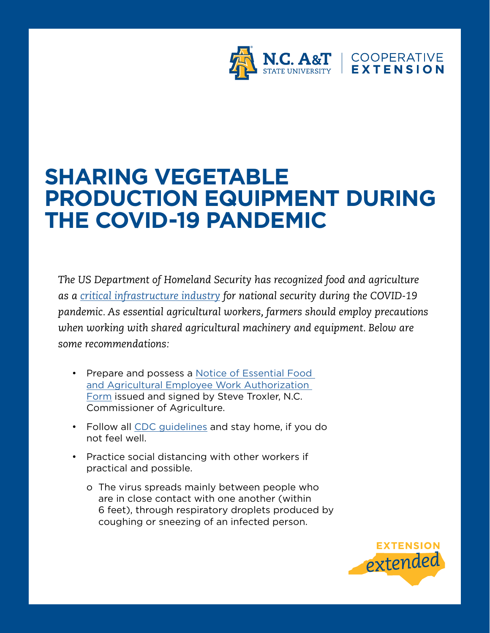

## **SHARING VEGETABLE PRODUCTION EQUIPMENT DURING THE COVID-19 PANDEMIC**

*The US Department of Homeland Security has recognized food and agriculture as a [critical infrastructure industry](https://www.cisa.gov/sites/default/files/publications/CISA-Guidance-on-Essential-Critical-Infrastructure-Workers-1-20-508c.pdf) for national security during the COVID-19 pandemic. As essential agricultural workers, farmers should employ precautions when working with shared agricultural machinery and equipment. Below are some recommendations:* 

- Prepare and possess a [Notice of Essential Food](https://www.ncagr.gov/disaster/documents/documents/SIGNEDWORKAUTHORIZATIONAGGROUPPERSONNELMarch26.pdf)  [and Agricultural Employee Work Authorization](https://www.ncagr.gov/disaster/documents/documents/SIGNEDWORKAUTHORIZATIONAGGROUPPERSONNELMarch26.pdf)  [Form](https://www.ncagr.gov/disaster/documents/documents/SIGNEDWORKAUTHORIZATIONAGGROUPPERSONNELMarch26.pdf) issued and signed by Steve Troxler, N.C. Commissioner of Agriculture.
- Follow all [CDC guidelines](https://www.cdc.gov/coronavirus/2019-ncov/prevent-getting-sick/prevention.html) and stay home, if you do not feel well.
- Practice social distancing with other workers if practical and possible.
	- o The virus spreads mainly between people who are in close contact with one another (within 6 feet), through respiratory droplets produced by coughing or sneezing of an infected person.

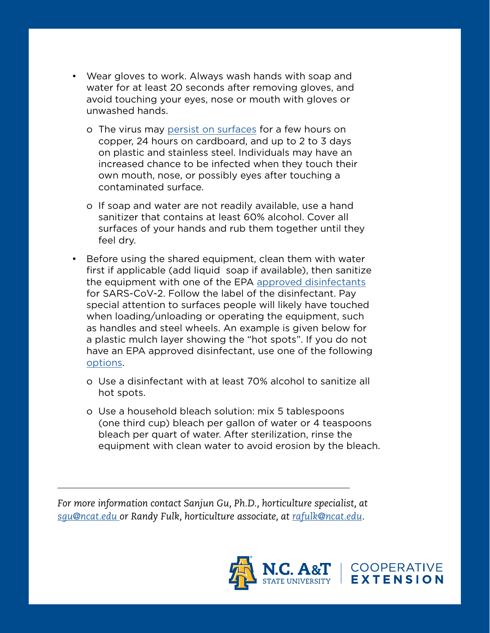- Wear gloves to work. Always wash hands with soap and water for at least 20 seconds after removing gloves, and avoid touching your eyes, nose or mouth with gloves or unwashed hands.
	- o The virus may [persist on surfaces](https://www.nejm.org/doi/10.1056/NEJMc2004973) for a few hours on copper, 24 hours on cardboard, and up to 2 to 3 days on plastic and stainless steel. Individuals may have an increased chance to be infected when they touch their own mouth, nose, or possibly eyes after touching a contaminated surface.
	- o If soap and water are not readily available, use a hand sanitizer that contains at least 60% alcohol. Cover all surfaces of your hands and rub them together until they feel dry.
- Before using the shared equipment, clean them with water first if applicable (add liquid soap if available), then sanitize the equipment with one of the EPA [approved disinfectants](https://www.epa.gov/pesticide-registration/list-n-disinfectants-use-against-sars-cov-2) for SARS-CoV-2. Follow the label of the disinfectant. Pay special attention to surfaces people will likely have touched when loading/unloading or operating the equipment, such as handles and steel wheels. An example is given below for a plastic mulch layer showing the "hot spots". If you do not have an EPA approved disinfectant, use one of the following [options.](https://www.cdc.gov/coronavirus/2019-ncov/prevent-getting-sick/prevention.html)
	- o Use a disinfectant with at least 70% alcohol to sanitize all hot spots.
	- o Use a household bleach solution: mix 5 tablespoons (one third cup) bleach per gallon of water or 4 teaspoons bleach per quart of water. After sterilization, rinse the equipment with clean water to avoid erosion by the bleach.

*For more information contact Sanjun Gu, Ph.D., horticulture specialist, at [sgu@ncat.edu](mailto:sgu%40ncat.edu?subject=Growing%20Fruiting%20Vegetables%20%0Ain%20Containers) or Randy Fulk, horticulture associate, at [rafulk@ncat.edu.](mailto:rafulk%40ncat.edu?subject=Growing%20Fruiting%20Vegetables%20%0Ain%20Containers)*